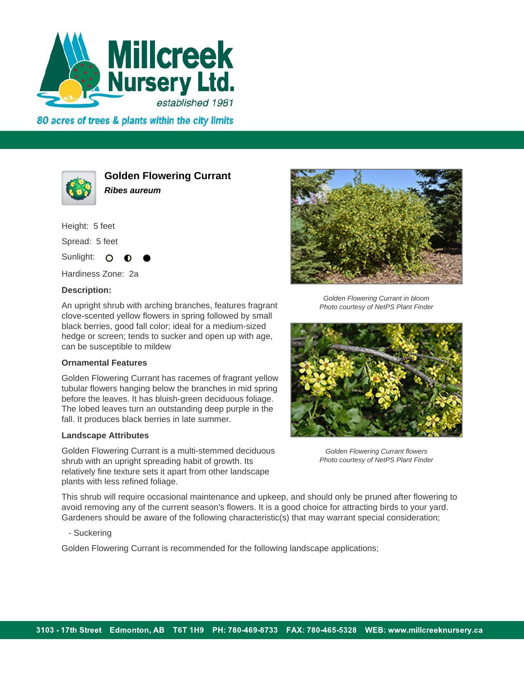

80 acres of trees & plants within the city limits



**Golden Flowering Currant Ribes aureum**

Height: 5 feet Spread: 5 feet Sunlight: O

Hardiness Zone: 2a

## **Description:**

An upright shrub with arching branches, features fragrant clove-scented yellow flowers in spring followed by small black berries, good fall color; ideal for a medium-sized hedge or screen; tends to sucker and open up with age, can be susceptible to mildew

## **Ornamental Features**

Golden Flowering Currant has racemes of fragrant yellow tubular flowers hanging below the branches in mid spring before the leaves. It has bluish-green deciduous foliage. The lobed leaves turn an outstanding deep purple in the fall. It produces black berries in late summer.

## **Landscape Attributes**

Golden Flowering Currant is a multi-stemmed deciduous shrub with an upright spreading habit of growth. Its relatively fine texture sets it apart from other landscape plants with less refined foliage.



Golden Flowering Currant in bloom Photo courtesy of NetPS Plant Finder



Golden Flowering Currant flowers Photo courtesy of NetPS Plant Finder

This shrub will require occasional maintenance and upkeep, and should only be pruned after flowering to avoid removing any of the current season's flowers. It is a good choice for attracting birds to your yard. Gardeners should be aware of the following characteristic(s) that may warrant special consideration;

- Suckering

Golden Flowering Currant is recommended for the following landscape applications;